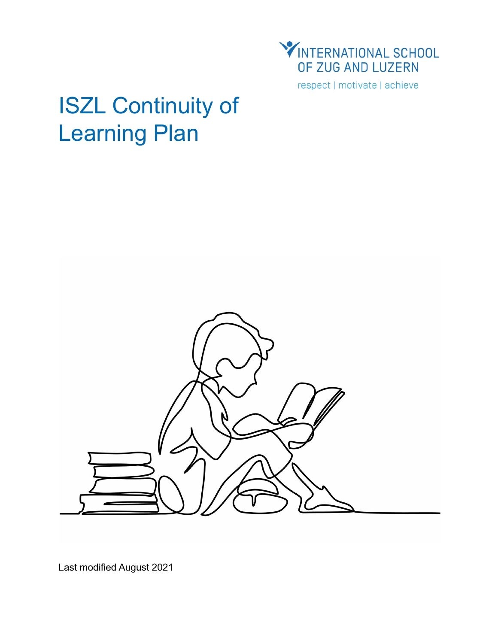

respect | motivate | achieve

# ISZL Continuity of Learning Plan



Last modified August 2021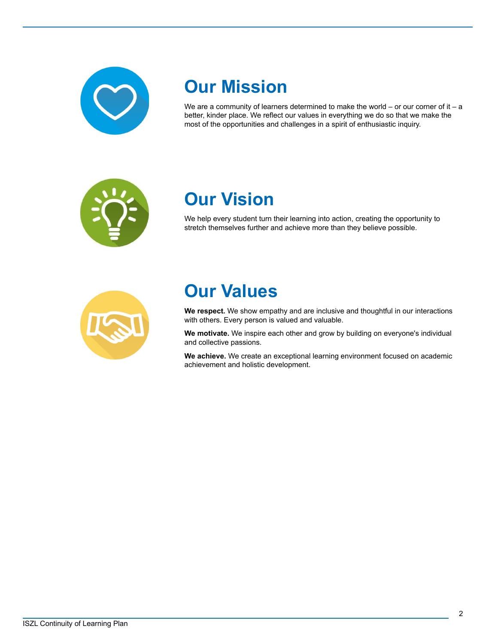

## **Our Mission**

We are a community of learners determined to make the world  $-$  or our corner of it  $-$  a better, kinder place. We reflect our values in everything we do so that we make the most of the opportunities and challenges in a spirit of enthusiastic inquiry.

$$
\frac{1}{\pi}\sum_{i=1}^{n} \frac{1}{i}
$$

## **Our Vision**

We help every student turn their learning into action, creating the opportunity to stretch themselves further and achieve more than they believe possible.



## **Our Values**

**We respect.** We show empathy and are inclusive and thoughtful in our interactions with others. Every person is valued and valuable.

**We motivate.** We inspire each other and grow by building on everyone's individual and collective passions.

**We achieve.** We create an exceptional learning environment focused on academic achievement and holistic development.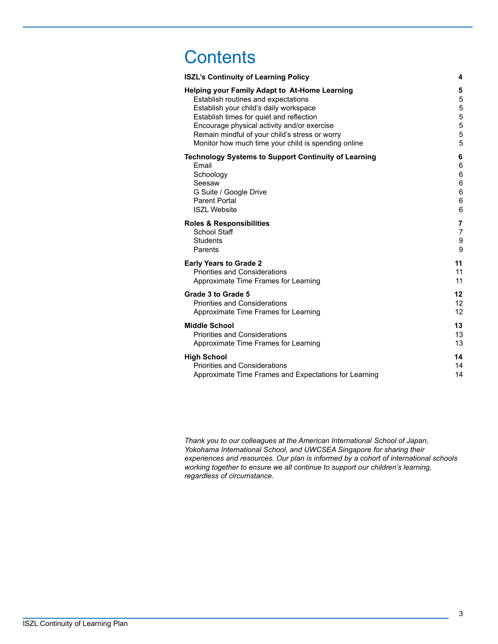## **Contents**

| <b>ISZL's Continuity of Learning Policy</b>                 | 4  |
|-------------------------------------------------------------|----|
| Helping your Family Adapt to At-Home Learning               | 5  |
| Establish routines and expectations                         | 5  |
| Establish your child's daily workspace                      | 5  |
| Establish times for quiet and reflection                    | 5  |
| Encourage physical activity and/or exercise                 | 5  |
| Remain mindful of your child's stress or worry              | 5  |
| Monitor how much time your child is spending online         | 5  |
| <b>Technology Systems to Support Continuity of Learning</b> | 6  |
| Email                                                       | 6  |
| Schoology                                                   | 6  |
| Seesaw                                                      | 6  |
| G Suite / Google Drive                                      | 6  |
| Parent Portal                                               | 6  |
| <b>ISZL Website</b>                                         | 6  |
| <b>Roles &amp; Responsibilities</b>                         | 7  |
| School Staff                                                | 7  |
| <b>Students</b>                                             | 9  |
| Parents                                                     | 9  |
| <b>Early Years to Grade 2</b>                               | 11 |
| <b>Priorities and Considerations</b>                        | 11 |
| Approximate Time Frames for Learning                        | 11 |
| Grade 3 to Grade 5                                          | 12 |
| <b>Priorities and Considerations</b>                        | 12 |
| Approximate Time Frames for Learning                        | 12 |
| <b>Middle School</b>                                        | 13 |
| <b>Priorities and Considerations</b>                        | 13 |
| Approximate Time Frames for Learning                        | 13 |
| <b>High School</b>                                          | 14 |
| <b>Priorities and Considerations</b>                        | 14 |
| Approximate Time Frames and Expectations for Learning       | 14 |

*Thank you to our colleagues at the American International School of Japan, Yokohama International School, and UWCSEA Singapore for sharing their experiences and resources. Our plan is informed by a cohort of international schools working together to ensure we all continue to support our children's learning, regardless of circumstance.*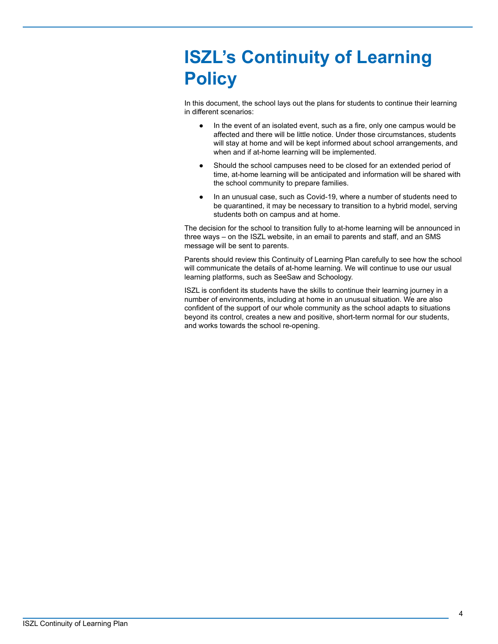## <span id="page-3-0"></span>**ISZL's Continuity of Learning Policy**

In this document, the school lays out the plans for students to continue their learning in different scenarios:

- In the event of an isolated event, such as a fire, only one campus would be affected and there will be little notice. Under those circumstances, students will stay at home and will be kept informed about school arrangements, and when and if at-home learning will be implemented.
- Should the school campuses need to be closed for an extended period of time, at-home learning will be anticipated and information will be shared with the school community to prepare families.
- In an unusual case, such as Covid-19, where a number of students need to be quarantined, it may be necessary to transition to a hybrid model, serving students both on campus and at home.

The decision for the school to transition fully to at-home learning will be announced in three ways – on the ISZL website, in an email to parents and staff, and an SMS message will be sent to parents.

Parents should review this Continuity of Learning Plan carefully to see how the school will communicate the details of at-home learning. We will continue to use our usual learning platforms, such as SeeSaw and Schoology.

ISZL is confident its students have the skills to continue their learning journey in a number of environments, including at home in an unusual situation. We are also confident of the support of our whole community as the school adapts to situations beyond its control, creates a new and positive, short-term normal for our students, and works towards the school re-opening.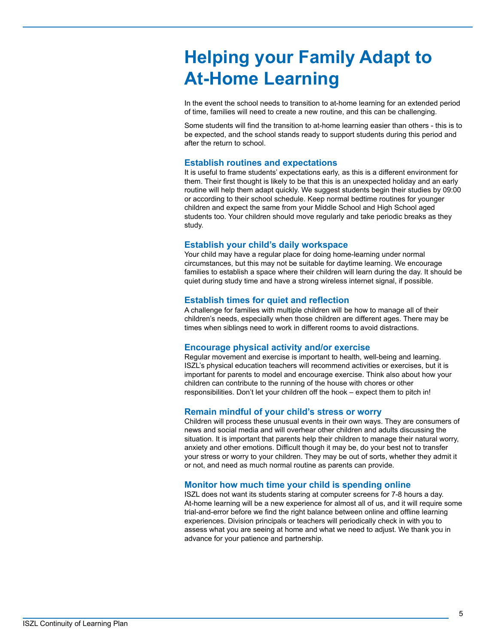## <span id="page-4-0"></span>**Helping your Family Adapt to At-Home Learning**

In the event the school needs to transition to at-home learning for an extended period of time, families will need to create a new routine, and this can be challenging.

Some students will find the transition to at-home learning easier than others - this is to be expected, and the school stands ready to support students during this period and after the return to school.

### <span id="page-4-1"></span>**Establish routines and expectations**

It is useful to frame students' expectations early, as this is a different environment for them. Their first thought is likely to be that this is an unexpected holiday and an early routine will help them adapt quickly. We suggest students begin their studies by 09:00 or according to their school schedule. Keep normal bedtime routines for younger children and expect the same from your Middle School and High School aged students too. Your children should move regularly and take periodic breaks as they study.

### <span id="page-4-2"></span>**Establish your child's daily workspace**

Your child may have a regular place for doing home-learning under normal circumstances, but this may not be suitable for daytime learning. We encourage families to establish a space where their children will learn during the day. It should be quiet during study time and have a strong wireless internet signal, if possible.

#### <span id="page-4-3"></span>**Establish times for quiet and reflection**

A challenge for families with multiple children will be how to manage all of their children's needs, especially when those children are different ages. There may be times when siblings need to work in different rooms to avoid distractions.

#### <span id="page-4-4"></span>**Encourage physical activity and/or exercise**

Regular movement and exercise is important to health, well-being and learning. ISZL's physical education teachers will recommend activities or exercises, but it is important for parents to model and encourage exercise. Think also about how your children can contribute to the running of the house with chores or other responsibilities. Don't let your children off the hook – expect them to pitch in!

### <span id="page-4-5"></span>**Remain mindful of your child's stress or worry**

Children will process these unusual events in their own ways. They are consumers of news and social media and will overhear other children and adults discussing the situation. It is important that parents help their children to manage their natural worry, anxiety and other emotions. Difficult though it may be, do your best not to transfer your stress or worry to your children. They may be out of sorts, whether they admit it or not, and need as much normal routine as parents can provide.

#### <span id="page-4-6"></span>**Monitor how much time your child is spending online**

ISZL does not want its students staring at computer screens for 7-8 hours a day. At-home learning will be a new experience for almost all of us, and it will require some trial-and-error before we find the right balance between online and offline learning experiences. Division principals or teachers will periodically check in with you to assess what you are seeing at home and what we need to adjust. We thank you in advance for your patience and partnership.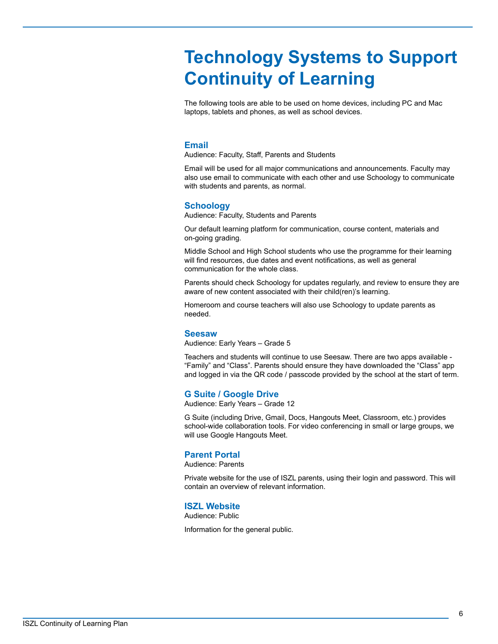## <span id="page-5-0"></span>**Technology Systems to Support Continuity of Learning**

The following tools are able to be used on home devices, including PC and Mac laptops, tablets and phones, as well as school devices.

### <span id="page-5-1"></span>**Email**

Audience: Faculty, Staff, Parents and Students

Email will be used for all major communications and announcements. Faculty may also use email to communicate with each other and use Schoology to communicate with students and parents, as normal.

### <span id="page-5-2"></span>**Schoology**

Audience: Faculty, Students and Parents

Our default learning platform for communication, course content, materials and on-going grading.

Middle School and High School students who use the programme for their learning will find resources, due dates and event notifications, as well as general communication for the whole class.

Parents should check Schoology for updates regularly, and review to ensure they are aware of new content associated with their child(ren)'s learning.

Homeroom and course teachers will also use Schoology to update parents as needed.

#### <span id="page-5-3"></span>**Seesaw**

Audience: Early Years – Grade 5

Teachers and students will continue to use Seesaw. There are two apps available - "Family" and "Class". Parents should ensure they have downloaded the "Class" app and logged in via the QR code / passcode provided by the school at the start of term.

### <span id="page-5-4"></span>**G Suite / Google Drive**

Audience: Early Years – Grade 12

G Suite (including Drive, Gmail, Docs, Hangouts Meet, Classroom, etc.) provides school-wide collaboration tools. For video conferencing in small or large groups, we will use Google Hangouts Meet.

#### <span id="page-5-5"></span>**Parent Portal**

Audience: Parents

Private website for the use of ISZL parents, using their login and password. This will contain an overview of relevant information.

#### <span id="page-5-6"></span>**ISZL Website**

Audience: Public

Information for the general public.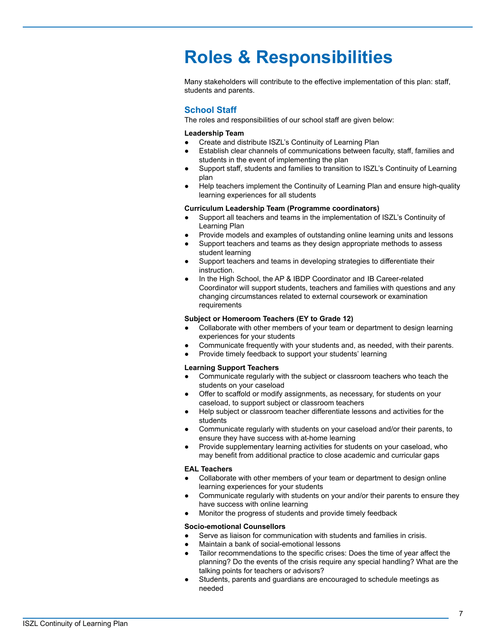## <span id="page-6-0"></span>**Roles & Responsibilities**

Many stakeholders will contribute to the effective implementation of this plan: staff, students and parents.

### <span id="page-6-1"></span>**School Staff**

The roles and responsibilities of our school staff are given below:

#### **Leadership Team**

- Create and distribute ISZL's Continuity of Learning Plan
- Establish clear channels of communications between faculty, staff, families and students in the event of implementing the plan
- Support staff, students and families to transition to ISZL's Continuity of Learning plan
- Help teachers implement the Continuity of Learning Plan and ensure high-quality learning experiences for all students

#### **Curriculum Leadership Team (Programme coordinators)**

- Support all teachers and teams in the implementation of ISZL's Continuity of Learning Plan
- Provide models and examples of outstanding online learning units and lessons
- Support teachers and teams as they design appropriate methods to assess student learning
- Support teachers and teams in developing strategies to differentiate their instruction.
- In the High School, the AP & IBDP Coordinator and IB Career-related Coordinator will support students, teachers and families with questions and any changing circumstances related to external coursework or examination requirements

#### **Subject or Homeroom Teachers (EY to Grade 12)**

- Collaborate with other members of your team or department to design learning experiences for your students
- Communicate frequently with your students and, as needed, with their parents.
- Provide timely feedback to support your students' learning

#### **Learning Support Teachers**

- Communicate regularly with the subject or classroom teachers who teach the students on your caseload
- Offer to scaffold or modify assignments, as necessary, for students on your caseload, to support subject or classroom teachers
- Help subject or classroom teacher differentiate lessons and activities for the students
- Communicate regularly with students on your caseload and/or their parents, to ensure they have success with at-home learning
- Provide supplementary learning activities for students on your caseload, who may benefit from additional practice to close academic and curricular gaps

#### **EAL Teachers**

- Collaborate with other members of your team or department to design online learning experiences for your students
- Communicate regularly with students on your and/or their parents to ensure they have success with online learning
- Monitor the progress of students and provide timely feedback

#### **Socio-emotional Counsellors**

- Serve as liaison for communication with students and families in crisis.
- Maintain a bank of social-emotional lessons
- Tailor recommendations to the specific crises: Does the time of year affect the planning? Do the events of the crisis require any special handling? What are the talking points for teachers or advisors?
- Students, parents and quardians are encouraged to schedule meetings as needed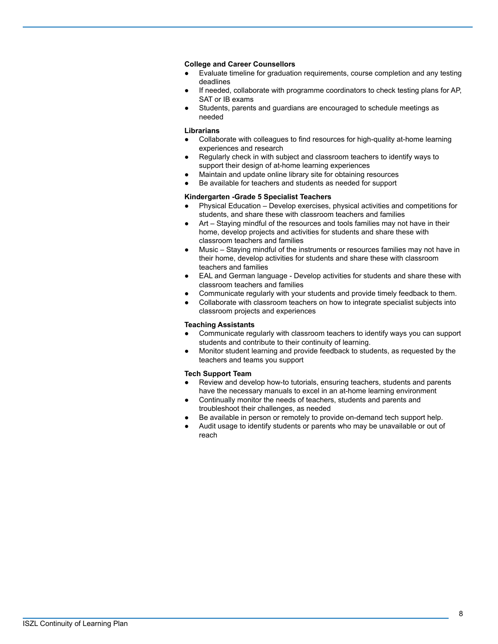#### **College and Career Counsellors**

- Evaluate timeline for graduation requirements, course completion and any testing deadlines
- If needed, collaborate with programme coordinators to check testing plans for AP, SAT or IB exams
- Students, parents and guardians are encouraged to schedule meetings as needed

#### **Librarians**

- Collaborate with colleagues to find resources for high-quality at-home learning experiences and research
- Regularly check in with subject and classroom teachers to identify ways to support their design of at-home learning experiences
- Maintain and update online library site for obtaining resources
- Be available for teachers and students as needed for support

#### **Kindergarten -Grade 5 Specialist Teachers**

- Physical Education Develop exercises, physical activities and competitions for students, and share these with classroom teachers and families
- Art Staying mindful of the resources and tools families may not have in their home, develop projects and activities for students and share these with classroom teachers and families
- Music Staying mindful of the instruments or resources families may not have in their home, develop activities for students and share these with classroom teachers and families
- EAL and German language Develop activities for students and share these with classroom teachers and families
- Communicate regularly with your students and provide timely feedback to them.
- Collaborate with classroom teachers on how to integrate specialist subjects into classroom projects and experiences

#### **Teaching Assistants**

- Communicate regularly with classroom teachers to identify ways you can support students and contribute to their continuity of learning.
- Monitor student learning and provide feedback to students, as requested by the teachers and teams you support

#### **Tech Support Team**

- Review and develop how-to tutorials, ensuring teachers, students and parents have the necessary manuals to excel in an at-home learning environment
- Continually monitor the needs of teachers, students and parents and troubleshoot their challenges, as needed
- Be available in person or remotely to provide on-demand tech support help.
- Audit usage to identify students or parents who may be unavailable or out of reach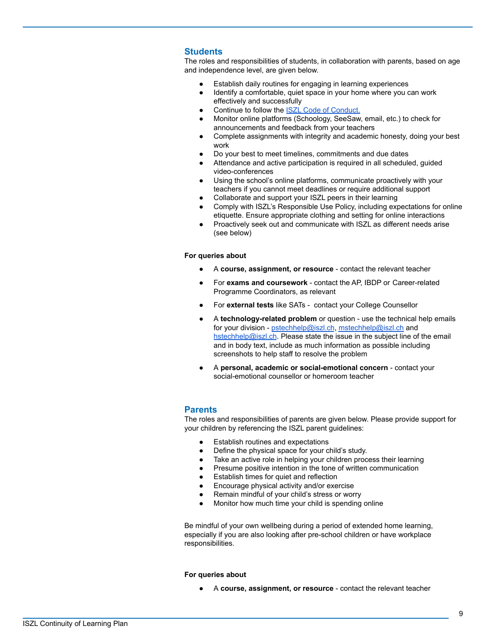#### <span id="page-8-0"></span>**Students**

The roles and responsibilities of students, in collaboration with parents, based on age and independence level, are given below.

- Establish daily routines for engaging in learning experiences
- Identify a comfortable, quiet space in your home where you can work effectively and successfully
- Continue to follow the **[ISZL Code of Conduct.](https://resources.finalsite.net/images/v1621418289/zug/h4pee5kapwz4zgfomna1/iszl_code_of_conduct_May_2021.pdf)**
- Monitor online platforms (Schoology, SeeSaw, email, etc.) to check for announcements and feedback from your teachers
- Complete assignments with integrity and academic honesty, doing your best work
- Do your best to meet timelines, commitments and due dates
- Attendance and active participation is required in all scheduled, guided video-conferences
- Using the school's online platforms, communicate proactively with your teachers if you cannot meet deadlines or require additional support
- Collaborate and support your ISZL peers in their learning
- Comply with ISZL's Responsible Use Policy, including expectations for online etiquette. Ensure appropriate clothing and setting for online interactions
- Proactively seek out and communicate with ISZL as different needs arise (see below)

#### **For queries about**

- A **course, assignment, or resource** contact the relevant teacher
- For **exams and coursework** contact the AP, IBDP or Career-related Programme Coordinators, as relevant
- For external tests like SATs contact your College Counsellor
- A **technology-related problem** or question use the technical help emails for your division - [pstechhelp@iszl.ch](mailto:pstechhelp@iszl.ch), [mstechhelp@iszl.ch](mailto:mstechhelp@iszl.ch) and [hstechhelp@iszl.ch](mailto:hstechhelp@iszl.ch). Please state the issue in the subject line of the email and in body text, include as much information as possible including screenshots to help staff to resolve the problem
- A **personal, academic or social-emotional concern** contact your social-emotional counsellor or homeroom teacher

#### <span id="page-8-1"></span>**Parents**

The roles and responsibilities of parents are given below. Please provide support for your children by referencing the ISZL parent guidelines:

- **Establish routines and expectations**
- Define the physical space for your child's study.
- Take an active role in helping your children process their learning
	- Presume positive intention in the tone of written communication
- Establish times for quiet and reflection
- Encourage physical activity and/or exercise
- Remain mindful of your child's stress or worry
- Monitor how much time your child is spending online

Be mindful of your own wellbeing during a period of extended home learning, especially if you are also looking after pre-school children or have workplace responsibilities.

#### **For queries about**

A **course, assignment, or resource** - contact the relevant teacher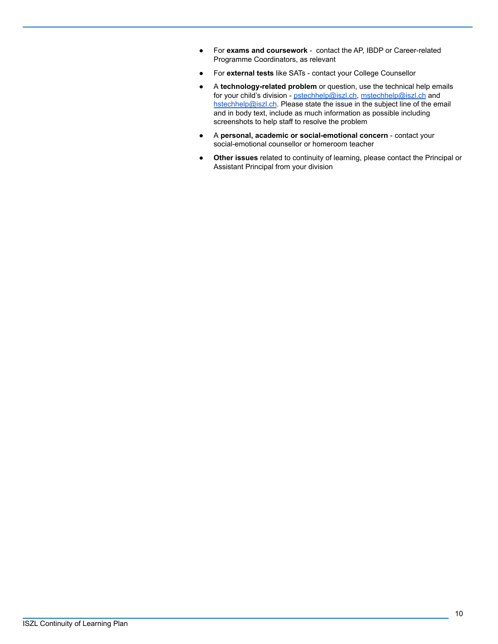- For **exams and coursework** contact the AP, IBDP or Career-related Programme Coordinators, as relevant
- For **external tests** like SATs contact your College Counsellor
- A **technology-related problem** or question, use the technical help emails for your child's division - [pstechhelp@iszl.ch,](mailto:pstechhelp@iszl.ch) [mstechhelp@iszl.ch](mailto:mstechhelp@iszl.ch) and [hstechhelp@iszl.ch](mailto:hstechhelp@iszl.ch). Please state the issue in the subject line of the email and in body text, include as much information as possible including screenshots to help staff to resolve the problem
- A **personal, academic or social-emotional concern** contact your social-emotional counsellor or homeroom teacher
- **Other issues** related to continuity of learning, please contact the Principal or Assistant Principal from your division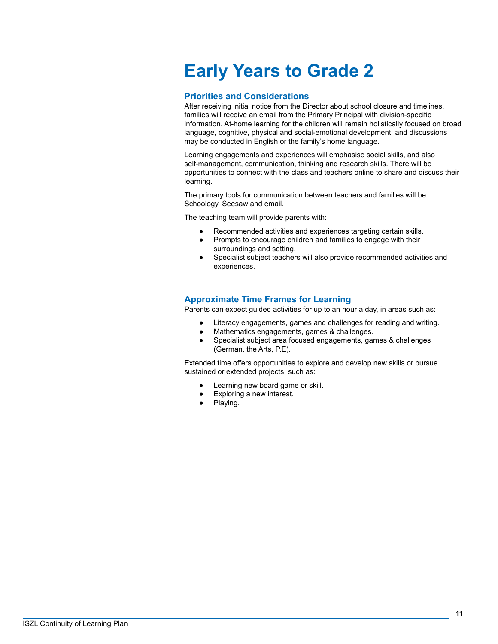## <span id="page-10-0"></span>**Early Years to Grade 2**

#### <span id="page-10-1"></span>**Priorities and Considerations**

After receiving initial notice from the Director about school closure and timelines, families will receive an email from the Primary Principal with division-specific information. At-home learning for the children will remain holistically focused on broad language, cognitive, physical and social-emotional development, and discussions may be conducted in English or the family's home language.

Learning engagements and experiences will emphasise social skills, and also self-management, communication, thinking and research skills. There will be opportunities to connect with the class and teachers online to share and discuss their learning.

The primary tools for communication between teachers and families will be Schoology, Seesaw and email.

The teaching team will provide parents with:

- Recommended activities and experiences targeting certain skills.
- Prompts to encourage children and families to engage with their surroundings and setting.
- Specialist subject teachers will also provide recommended activities and experiences.

### <span id="page-10-2"></span>**Approximate Time Frames for Learning**

Parents can expect guided activities for up to an hour a day, in areas such as:

- Literacy engagements, games and challenges for reading and writing.
- Mathematics engagements, games & challenges.
- Specialist subject area focused engagements, games & challenges (German, the Arts, P.E).

Extended time offers opportunities to explore and develop new skills or pursue sustained or extended projects, such as:

- Learning new board game or skill.
- Exploring a new interest.
- Playing.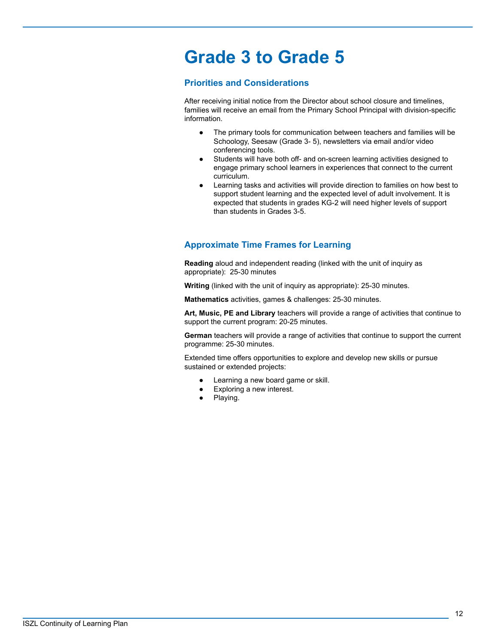## <span id="page-11-0"></span>**Grade 3 to Grade 5**

### <span id="page-11-1"></span>**Priorities and Considerations**

After receiving initial notice from the Director about school closure and timelines, families will receive an email from the Primary School Principal with division-specific information.

- The primary tools for communication between teachers and families will be Schoology, Seesaw (Grade 3- 5), newsletters via email and/or video conferencing tools.
- Students will have both off- and on-screen learning activities designed to engage primary school learners in experiences that connect to the current curriculum.
- Learning tasks and activities will provide direction to families on how best to support student learning and the expected level of adult involvement. It is expected that students in grades KG-2 will need higher levels of support than students in Grades 3-5.

## <span id="page-11-2"></span>**Approximate Time Frames for Learning**

**Reading** aloud and independent reading (linked with the unit of inquiry as appropriate): 25-30 minutes

**Writing** (linked with the unit of inquiry as appropriate): 25-30 minutes.

**Mathematics** activities, games & challenges: 25-30 minutes.

**Art, Music, PE and Library** teachers will provide a range of activities that continue to support the current program: 20-25 minutes.

**German** teachers will provide a range of activities that continue to support the current programme: 25-30 minutes.

Extended time offers opportunities to explore and develop new skills or pursue sustained or extended projects:

- Learning a new board game or skill.
- Exploring a new interest.
- Playing.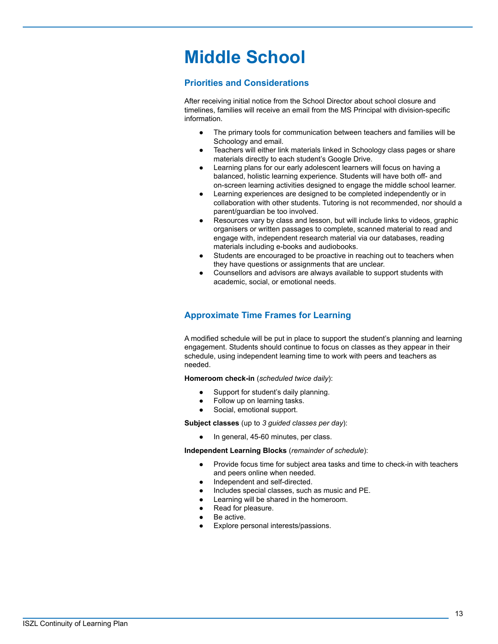## <span id="page-12-0"></span>**Middle School**

### <span id="page-12-1"></span>**Priorities and Considerations**

After receiving initial notice from the School Director about school closure and timelines, families will receive an email from the MS Principal with division-specific information.

- The primary tools for communication between teachers and families will be Schoology and email.
- Teachers will either link materials linked in Schoology class pages or share materials directly to each student's Google Drive.
- Learning plans for our early adolescent learners will focus on having a balanced, holistic learning experience. Students will have both off- and on-screen learning activities designed to engage the middle school learner.
- Learning experiences are designed to be completed independently or in collaboration with other students. Tutoring is not recommended, nor should a parent/guardian be too involved.
- Resources vary by class and lesson, but will include links to videos, graphic organisers or written passages to complete, scanned material to read and engage with, independent research material via our databases, reading materials including e-books and audiobooks.
- Students are encouraged to be proactive in reaching out to teachers when they have questions or assignments that are unclear.
- Counsellors and advisors are always available to support students with academic, social, or emotional needs.

## <span id="page-12-2"></span>**Approximate Time Frames for Learning**

A modified schedule will be put in place to support the student's planning and learning engagement. Students should continue to focus on classes as they appear in their schedule, using independent learning time to work with peers and teachers as needed.

**Homeroom check-in** (*scheduled twice daily*):

- Support for student's daily planning.
- Follow up on learning tasks.
- Social, emotional support.

**Subject classes** (up to *3 guided classes per day*):

In general, 45-60 minutes, per class.

**Independent Learning Blocks** (*remainder of schedule*):

- Provide focus time for subject area tasks and time to check-in with teachers and peers online when needed.
- Independent and self-directed.
- Includes special classes, such as music and PE.
- Learning will be shared in the homeroom.
- Read for pleasure.
- Be active.
- Explore personal interests/passions.